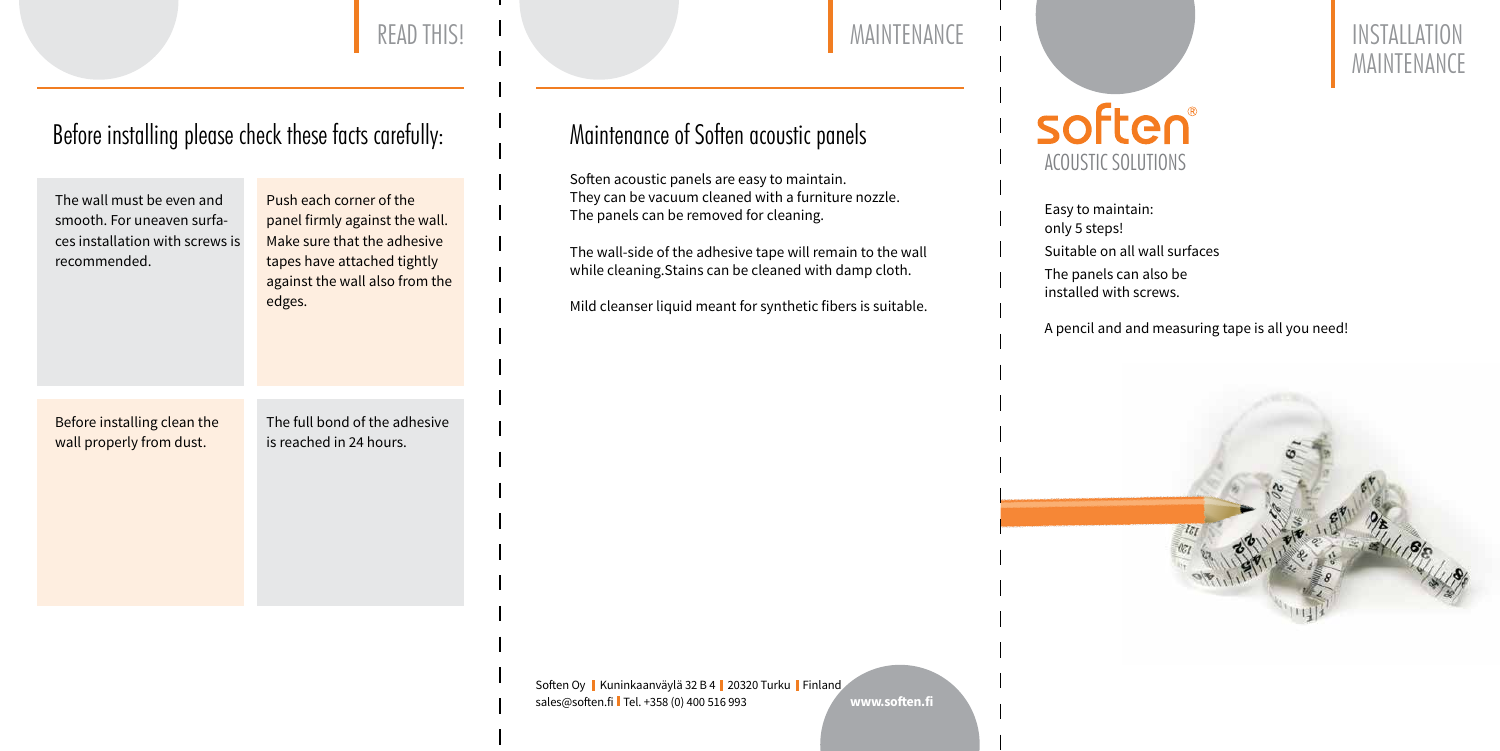## READ THIS! INSTALLATION

### Before installing please check these facts carefully: Maintenance of Soften acoustic panels



# MAINTENANCE



The wall must be even and smooth. For uneaven surfaces installation with screws is recommended. Before installing clean the wall properly from dust. Push each corner of the panel firmly against the wall. Make sure that the adhesive tapes have attached tightly against the wall also from the edges. The full bond of the adhesive is reached in 24 hours.

Soften Oy | Kuninkaanväylä 32 B 4 | 20320 Turku | Finland sales@soften.fi Tel. +358 (0) 400 516 993 **www.soften.fi**

Soften acoustic panels are easy to maintain. They can be vacuum cleaned with a furniture nozzle. The panels can be removed for cleaning.

The wall-side of the adhesive tape will remain to the wall while cleaning.Stains can be cleaned with damp cloth.

Mild cleanser liquid meant for synthetic fibers is suitable.

Easy to maintain: only 5 steps!

Suitable on all wall surfaces

The panels can also be installed with screws.

A pencil and and measuring tape is all you need!